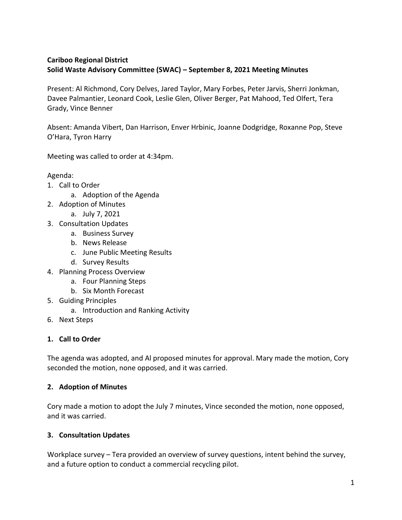## **Cariboo Regional District Solid Waste Advisory Committee (SWAC) – September 8, 2021 Meeting Minutes**

Present: Al Richmond, Cory Delves, Jared Taylor, Mary Forbes, Peter Jarvis, Sherri Jonkman, Davee Palmantier, Leonard Cook, Leslie Glen, Oliver Berger, Pat Mahood, Ted Olfert, Tera Grady, Vince Benner

Absent: Amanda Vibert, Dan Harrison, Enver Hrbinic, Joanne Dodgridge, Roxanne Pop, Steve O'Hara, Tyron Harry

Meeting was called to order at 4:34pm.

Agenda:

- 1. Call to Order
	- a. Adoption of the Agenda
- 2. Adoption of Minutes
	- a. July 7, 2021
- 3. Consultation Updates
	- a. Business Survey
	- b. News Release
	- c. June Public Meeting Results
	- d. Survey Results
- 4. Planning Process Overview
	- a. Four Planning Steps
	- b. Six Month Forecast
- 5. Guiding Principles
	- a. Introduction and Ranking Activity
- 6. Next Steps

#### **1. Call to Order**

The agenda was adopted, and Al proposed minutes for approval. Mary made the motion, Cory seconded the motion, none opposed, and it was carried.

#### **2. Adoption of Minutes**

Cory made a motion to adopt the July 7 minutes, Vince seconded the motion, none opposed, and it was carried.

### **3. Consultation Updates**

Workplace survey – Tera provided an overview of survey questions, intent behind the survey, and a future option to conduct a commercial recycling pilot.